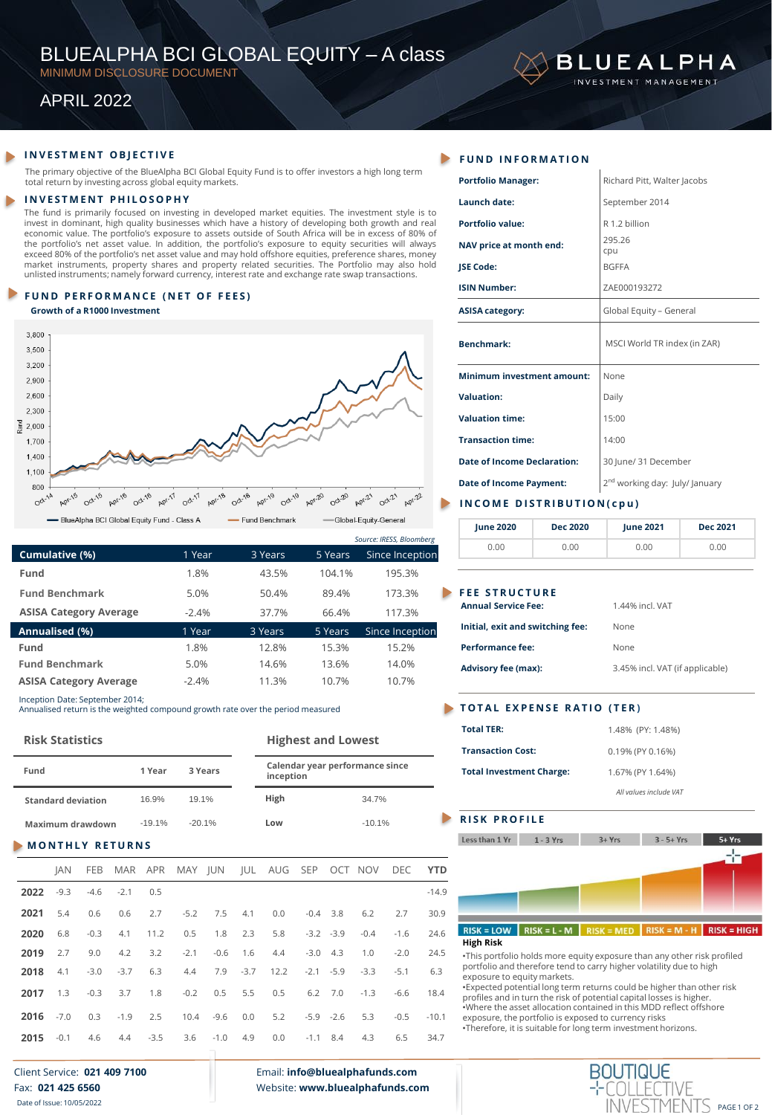# BLUEALPHA BCI GLOBAL EQUITY – A class

MINIMUM DISCLOSURE DOCUMENT

## APRIL 2022

### **FUND INFORMATION**

The primary objective of the BlueAlpha BCI Global Equity Fund is to offer investors a high long term total return by investing across global equity markets.

#### **I N V E S T M E N T P H I L O S O P H Y**

The fund is primarily focused on investing in developed market equities. The investment style is to invest in dominant, high quality businesses which have a history of developing both growth and real economic value. The portfolio's exposure to assets outside of South Africa will be in excess of 80% of the portfolio's net asset value. In addition, the portfolio's exposure to equity securities will always<br>exceed 80% of the portfolio's net asset value and may hold offshore equities, preference shares, money<br>market instrume unlisted instruments; namely forward currency, interest rate and exchange rate swap transactions.

#### **FUND PERFORMANCE (NET OF FEES)**

**Growth of a R1000 Investment** 



|                               |         |         |         | Source: IRESS, Bloomberg |
|-------------------------------|---------|---------|---------|--------------------------|
| Cumulative (%)                | 1 Year  | 3 Years | 5 Years | Since Inception          |
| Fund                          | 1.8%    | 43.5%   | 104.1%  | 195.3%                   |
| <b>Fund Benchmark</b>         | 5.0%    | 50.4%   | 89.4%   | 173.3%                   |
| <b>ASISA Category Average</b> | $-2.4%$ | 37.7%   | 66.4%   | 117.3%                   |
| Annualised (%)                | 1 Year  | 3 Years | 5 Years | Since Inception          |
| Fund                          | 1.8%    | 12.8%   | 15.3%   | 15.2%                    |
| <b>Fund Benchmark</b>         | 5.0%    | 14.6%   | 13.6%   | 14.0%                    |
| <b>ASISA Category Average</b> | $-2.4%$ | 11.3%   | 10.7%   | 10.7%                    |
|                               |         |         |         |                          |

Inception Date: September 2014;

Annualised return is the weighted compound growth rate over the period measured

#### **Risk Statistics Highest and Lowest**

| Fund                      | 1 Year   | 3 Years  | inception | Calendar year performance since |
|---------------------------|----------|----------|-----------|---------------------------------|
| <b>Standard deviation</b> | 16.9%    | 19.1%    | High      | 34.7%                           |
| Maximum drawdown          | $-19.1%$ | $-20.1%$ | Low       | $-10.1%$                        |

#### **MONTHLY RETURNS**

|      |  |                                      |  |  |                                                            |  | JAN FEB MAR APR MAY JUN JUL AUG SEP OCT NOV DEC YTD                 |             |
|------|--|--------------------------------------|--|--|------------------------------------------------------------|--|---------------------------------------------------------------------|-------------|
|      |  | <b>2022</b> $-9.3$ $-4.6$ $-2.1$ 0.5 |  |  |                                                            |  |                                                                     | $-14.9$     |
|      |  |                                      |  |  |                                                            |  | <b>2021</b> 5.4 0.6 0.6 2.7 -5.2 7.5 4.1 0.0 -0.4 3.8 6.2 2.7       | 30.9        |
| 2020 |  |                                      |  |  |                                                            |  | 6.8 -0.3 4.1 11.2 0.5 1.8 2.3 5.8 -3.2 -3.9 -0.4 -1.6               | 24.6        |
| 2019 |  |                                      |  |  |                                                            |  | 2.7 9.0 4.2 3.2 -2.1 -0.6 1.6 4.4 -3.0 4.3 1.0 -2.0 24.5            |             |
| 2018 |  |                                      |  |  |                                                            |  | 4.1 -3.0 -3.7 6.3 4.4 7.9 -3.7 12.2 -2.1 -5.9 -3.3 -5.1             | 6.3         |
|      |  |                                      |  |  | <b>2017</b> 1.3 -0.3 3.7 1.8 -0.2 0.5 5.5 0.5 6.2 7.0 -1.3 |  |                                                                     | $-6.6$ 18.4 |
|      |  |                                      |  |  |                                                            |  | 2016 7.0 0.3 -1.9 2.5 10.4 -9.6 0.0 5.2 -5.9 -2.6 5.3 -0.5 -10.1    |             |
|      |  |                                      |  |  |                                                            |  | <b>2015</b> 0.1 4.6 4.4 -3.5 3.6 -1.0 4.9 0.0 -1.1 8.4 4.3 6.5 34.7 |             |

#### Client Service: **021 409 7100** Fax: **021 425 6560** Date of Issue: 10/05/2022

Email: **info@bluealphafunds.com** Website: **www.bluealphafunds.com**

| <b>Portfolio Manager:</b>          | Richard Pitt, Walter Jacobs                |
|------------------------------------|--------------------------------------------|
| Launch date:                       | September 2014                             |
| <b>Portfolio value:</b>            | R 1.2 billion                              |
| NAV price at month end:            | 295.26<br>cpu                              |
| JSE Code:                          | <b>BGFFA</b>                               |
| <b>ISIN Number:</b>                | ZAE000193272                               |
| <b>ASISA category:</b>             | Global Equity - General                    |
| <b>Benchmark:</b>                  | MSCI World TR index (in ZAR)               |
| <b>Minimum investment amount:</b>  | None                                       |
| <b>Valuation:</b>                  | Daily                                      |
| <b>Valuation time:</b>             | 15:00                                      |
| <b>Transaction time:</b>           | 14:00                                      |
| <b>Date of Income Declaration:</b> | 30 June/ 31 December                       |
| <b>Date of Income Payment:</b>     | $2^{\text{nd}}$ working day: July/ January |
| INCOME DISTRIBUTION(cpu)           |                                            |

**BLUEALPHA ESTMENT MANAGEMENT** 

| June 2020 | <b>Dec 2020</b> | <b>June 2021</b> | Dec 2021 |
|-----------|-----------------|------------------|----------|
| J.OO      | 0.OO            | 0.00             | 0.00     |

#### **FEE STRUCTURE**

#### **TOTAL EXPENSE RATIO (TER)**

| <b>Total TER:</b>               | 1.48% (PY: 1.48%)      |
|---------------------------------|------------------------|
| <b>Transaction Cost:</b>        | $0.19\%$ (PY 0.16%)    |
| <b>Total Investment Charge:</b> | 1.67% (PY 1.64%)       |
|                                 | All values include VAT |

#### **RISK PROFILE**



•This portfolio holds more equity exposure than any other risk profiled portfolio and therefore tend to carry higher volatility due to high exposure to equity markets.

•Expected potential long term returns could be higher than other risk profiles and in turn the risk of potential capital losses is higher. •Where the asset allocation contained in this MDD reflect offshore exposure, the portfolio is exposed to currency risks •Therefore, it is suitable for long term investment horizons.